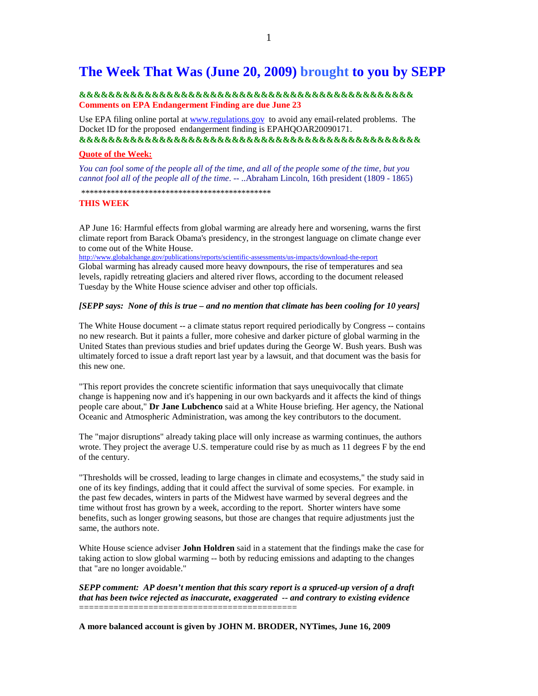# **The Week That Was (June 20, 2009) brought to you by SEPP**

### **&&&&&&&&&&&&&&&&&&&&&&&&&&&&&&&&&&&&&&&&&&&&&& Comments on EPA Endangerment Finding are due June 23**

Use EPA filing online portal at www.regulations.gov to avoid any email-related problems. The Docket ID for the proposed endangerment finding is EPAHQOAR20090171. **&&&&&&&&&&&&&&&&&&&&&&&&&&&&&&&&&&&&&&&&&&&&&&&** 

#### **Quote of the Week:**

*You can fool some of the people all of the time, and all of the people some of the time, but you cannot fool all of the people all of the time*. -- ..Abraham Lincoln, 16th president (1809 - 1865)

\*\*\*\*\*\*\*\*\*\*\*\*\*\*\*\*\*\*\*\*\*\*\*\*\*\*\*\*\*\*\*\*\*\*\*\*\*\*\*\*\*\*\*\*\*

## **THIS WEEK**

AP June 16: Harmful effects from global warming are already here and worsening, warns the first climate report from Barack Obama's presidency, in the strongest language on climate change ever to come out of the White House.

http://www.globalchange.gov/publications/reports/scientific-assessments/us-impacts/download-the-report

Global warming has already caused more heavy downpours, the rise of temperatures and sea levels, rapidly retreating glaciers and altered river flows, according to the document released Tuesday by the White House science adviser and other top officials.

### *[SEPP says: None of this is true – and no mention that climate has been cooling for 10 years]*

The White House document -- a climate status report required periodically by Congress -- contains no new research. But it paints a fuller, more cohesive and darker picture of global warming in the United States than previous studies and brief updates during the George W. Bush years. Bush was ultimately forced to issue a draft report last year by a lawsuit, and that document was the basis for this new one.

"This report provides the concrete scientific information that says unequivocally that climate change is happening now and it's happening in our own backyards and it affects the kind of things people care about," **Dr Jane Lubchenco** said at a White House briefing. Her agency, the National Oceanic and Atmospheric Administration, was among the key contributors to the document.

The "major disruptions" already taking place will only increase as warming continues, the authors wrote. They project the average U.S. temperature could rise by as much as 11 degrees F by the end of the century.

"Thresholds will be crossed, leading to large changes in climate and ecosystems," the study said in one of its key findings, adding that it could affect the survival of some species. For example. in the past few decades, winters in parts of the Midwest have warmed by several degrees and the time without frost has grown by a week, according to the report. Shorter winters have some benefits, such as longer growing seasons, but those are changes that require adjustments just the same, the authors note.

White House science adviser **John Holdren** said in a statement that the findings make the case for taking action to slow global warming -- both by reducing emissions and adapting to the changes that "are no longer avoidable."

*SEPP comment: AP doesn't mention that this scary report is a spruced-up version of a draft that has been twice rejected as inaccurate, exaggerated -- and contrary to existing evidence*  ============================================

**A more balanced account is given by JOHN M. BRODER, NYTimes, June 16, 2009**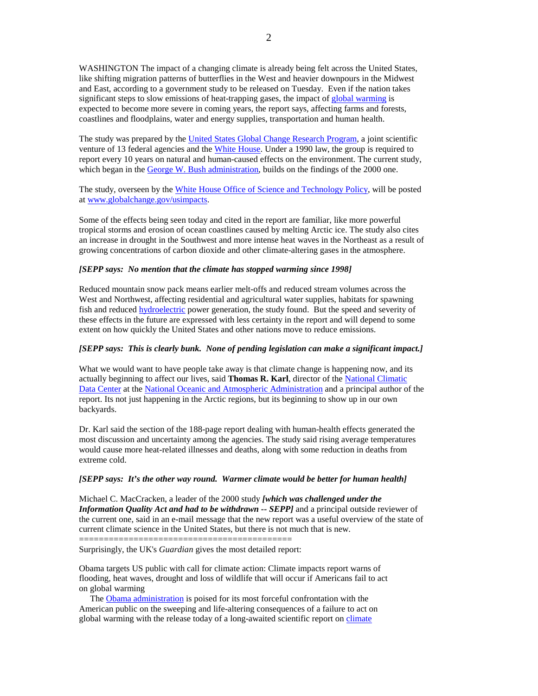WASHINGTON The impact of a changing climate is already being felt across the United States, like shifting migration patterns of butterflies in the West and heavier downpours in the Midwest and East, according to a government study to be released on Tuesday. Even if the nation takes significant steps to slow emissions of heat-trapping gases, the impact of global warming is expected to become more severe in coming years, the report says, affecting farms and forests, coastlines and floodplains, water and energy supplies, transportation and human health.

The study was prepared by the United States Global Change Research Program, a joint scientific venture of 13 federal agencies and the White House. Under a 1990 law, the group is required to report every 10 years on natural and human-caused effects on the environment. The current study, which began in the George W. Bush administration, builds on the findings of the 2000 one.

The study, overseen by the White House Office of Science and Technology Policy, will be posted at www.globalchange.gov/usimpacts.

Some of the effects being seen today and cited in the report are familiar, like more powerful tropical storms and erosion of ocean coastlines caused by melting Arctic ice. The study also cites an increase in drought in the Southwest and more intense heat waves in the Northeast as a result of growing concentrations of carbon dioxide and other climate-altering gases in the atmosphere.

### *[SEPP says: No mention that the climate has stopped warming since 1998]*

Reduced mountain snow pack means earlier melt-offs and reduced stream volumes across the West and Northwest, affecting residential and agricultural water supplies, habitats for spawning fish and reduced **hydroelectric** power generation, the study found. But the speed and severity of these effects in the future are expressed with less certainty in the report and will depend to some extent on how quickly the United States and other nations move to reduce emissions.

## *[SEPP says: This is clearly bunk. None of pending legislation can make a significant impact.]*

What we would want to have people take away is that climate change is happening now, and its actually beginning to affect our lives, said **Thomas R. Karl**, director of the National Climatic Data Center at the National Oceanic and Atmospheric Administration and a principal author of the report. Its not just happening in the Arctic regions, but its beginning to show up in our own backyards.

Dr. Karl said the section of the 188-page report dealing with human-health effects generated the most discussion and uncertainty among the agencies. The study said rising average temperatures would cause more heat-related illnesses and deaths, along with some reduction in deaths from extreme cold.

### *[SEPP says: It's the other way round. Warmer climate would be better for human health]*

Michael C. MacCracken, a leader of the 2000 study *[which was challenged under the Information Quality Act and had to be withdrawn -- SEPP]* and a principal outside reviewer of the current one, said in an e-mail message that the new report was a useful overview of the state of current climate science in the United States, but there is not much that is new.

=========================================== Surprisingly, the UK's *Guardian* gives the most detailed report:

Obama targets US public with call for climate action: Climate impacts report warns of flooding, heat waves, drought and loss of wildlife that will occur if Americans fail to act on global warming

 The Obama administration is poised for its most forceful confrontation with the American public on the sweeping and life-altering consequences of a failure to act on global warming with the release today of a long-awaited scientific report on *climate*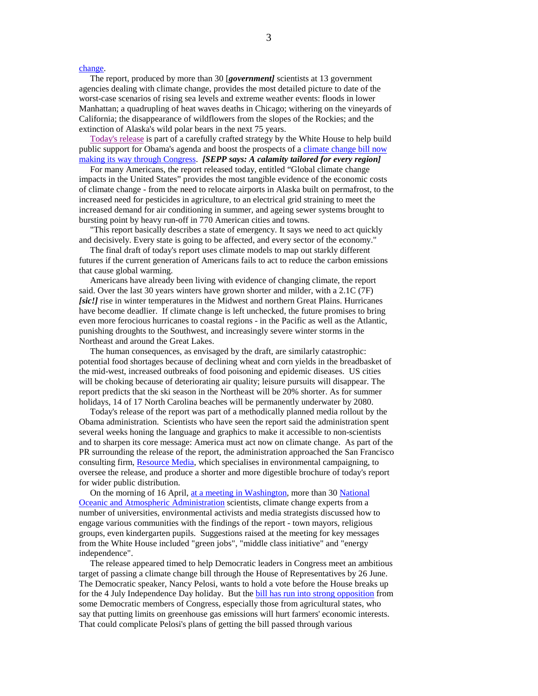### change.

 The report, produced by more than 30 [*government]* scientists at 13 government agencies dealing with climate change, provides the most detailed picture to date of the worst-case scenarios of rising sea levels and extreme weather events: floods in lower Manhattan; a quadrupling of heat waves deaths in Chicago; withering on the vineyards of California; the disappearance of wildflowers from the slopes of the Rockies; and the extinction of Alaska's wild polar bears in the next 75 years.

 Today's release is part of a carefully crafted strategy by the White House to help build public support for Obama's agenda and boost the prospects of a climate change bill now making its way through Congress. *[SEPP says: A calamity tailored for every region]*

 For many Americans, the report released today, entitled "Global climate change impacts in the United States" provides the most tangible evidence of the economic costs of climate change - from the need to relocate airports in Alaska built on permafrost, to the increased need for pesticides in agriculture, to an electrical grid straining to meet the increased demand for air conditioning in summer, and ageing sewer systems brought to bursting point by heavy run-off in 770 American cities and towns.

 "This report basically describes a state of emergency. It says we need to act quickly and decisively. Every state is going to be affected, and every sector of the economy."

 The final draft of today's report uses climate models to map out starkly different futures if the current generation of Americans fails to act to reduce the carbon emissions that cause global warming.

 Americans have already been living with evidence of changing climate, the report said. Over the last 30 years winters have grown shorter and milder, with a 2.1C (7F) *[sic!]* rise in winter temperatures in the Midwest and northern Great Plains. Hurricanes have become deadlier. If climate change is left unchecked, the future promises to bring even more ferocious hurricanes to coastal regions - in the Pacific as well as the Atlantic, punishing droughts to the Southwest, and increasingly severe winter storms in the Northeast and around the Great Lakes.

 The human consequences, as envisaged by the draft, are similarly catastrophic: potential food shortages because of declining wheat and corn yields in the breadbasket of the mid-west, increased outbreaks of food poisoning and epidemic diseases. US cities will be choking because of deteriorating air quality; leisure pursuits will disappear. The report predicts that the ski season in the Northeast will be 20% shorter. As for summer holidays, 14 of 17 North Carolina beaches will be permanently underwater by 2080.

 Today's release of the report was part of a methodically planned media rollout by the Obama administration. Scientists who have seen the report said the administration spent several weeks honing the language and graphics to make it accessible to non-scientists and to sharpen its core message: America must act now on climate change. As part of the PR surrounding the release of the report, the administration approached the San Francisco consulting firm, Resource Media, which specialises in environmental campaigning, to oversee the release, and produce a shorter and more digestible brochure of today's report for wider public distribution.

On the morning of 16 April, at a meeting in Washington, more than 30 National Oceanic and Atmospheric Administration scientists, climate change experts from a number of universities, environmental activists and media strategists discussed how to engage various communities with the findings of the report - town mayors, religious groups, even kindergarten pupils. Suggestions raised at the meeting for key messages from the White House included "green jobs", "middle class initiative" and "energy independence".

 The release appeared timed to help Democratic leaders in Congress meet an ambitious target of passing a climate change bill through the House of Representatives by 26 June. The Democratic speaker, Nancy Pelosi, wants to hold a vote before the House breaks up for the 4 July Independence Day holiday. But the bill has run into strong opposition from some Democratic members of Congress, especially those from agricultural states, who say that putting limits on greenhouse gas emissions will hurt farmers' economic interests. That could complicate Pelosi's plans of getting the bill passed through various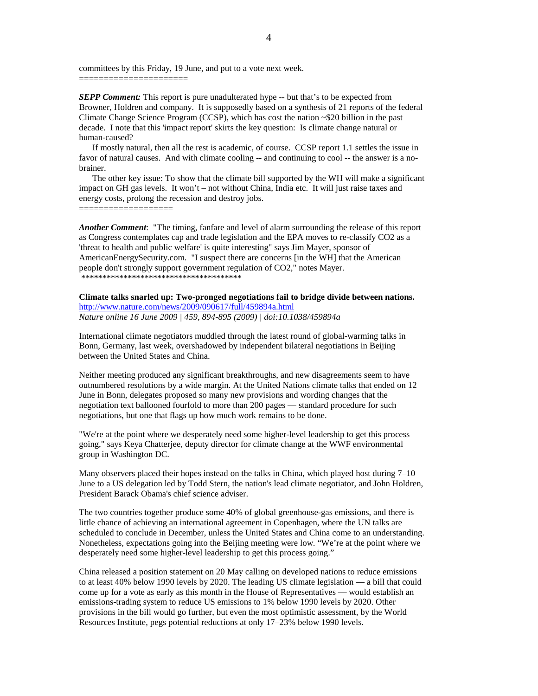committees by this Friday, 19 June, and put to a vote next week. ======================

*SEPP Comment:* This report is pure unadulterated hype -- but that's to be expected from Browner, Holdren and company. It is supposedly based on a synthesis of 21 reports of the federal Climate Change Science Program (CCSP), which has cost the nation  $\sim$  \$20 billion in the past decade. I note that this 'impact report' skirts the key question: Is climate change natural or human-caused?

 If mostly natural, then all the rest is academic, of course. CCSP report 1.1 settles the issue in favor of natural causes. And with climate cooling -- and continuing to cool -- the answer is a nobrainer.

 The other key issue: To show that the climate bill supported by the WH will make a significant impact on GH gas levels. It won't – not without China, India etc. It will just raise taxes and energy costs, prolong the recession and destroy jobs.

===================

*Another Comment*: "The timing, fanfare and level of alarm surrounding the release of this report as Congress contemplates cap and trade legislation and the EPA moves to re-classify CO2 as a 'threat to health and public welfare' is quite interesting" says Jim Mayer, sponsor of AmericanEnergySecurity.com. "I suspect there are concerns [in the WH] that the American people don't strongly support government regulation of CO2," notes Mayer. \*\*\*\*\*\*\*\*\*\*\*\*\*\*\*\*\*\*\*\*\*\*\*\*\*\*\*\*\*\*\*\*\*\*\*\*\*\*

### **Climate talks snarled up: Two-pronged negotiations fail to bridge divide between nations.**

http://www.nature.com/news/2009/090617/full/459894a.html *Nature online 16 June 2009 | 459, 894-895 (2009) | doi:10.1038/459894a* 

International climate negotiators muddled through the latest round of global-warming talks in Bonn, Germany, last week, overshadowed by independent bilateral negotiations in Beijing between the United States and China.

Neither meeting produced any significant breakthroughs, and new disagreements seem to have outnumbered resolutions by a wide margin. At the United Nations climate talks that ended on 12 June in Bonn, delegates proposed so many new provisions and wording changes that the negotiation text ballooned fourfold to more than 200 pages — standard procedure for such negotiations, but one that flags up how much work remains to be done.

"We're at the point where we desperately need some higher-level leadership to get this process going," says Keya Chatterjee, deputy director for climate change at the WWF environmental group in Washington DC.

Many observers placed their hopes instead on the talks in China, which played host during 7–10 June to a US delegation led by Todd Stern, the nation's lead climate negotiator, and John Holdren, President Barack Obama's chief science adviser.

The two countries together produce some 40% of global greenhouse-gas emissions, and there is little chance of achieving an international agreement in Copenhagen, where the UN talks are scheduled to conclude in December, unless the United States and China come to an understanding. Nonetheless, expectations going into the Beijing meeting were low. "We're at the point where we desperately need some higher-level leadership to get this process going."

China released a position statement on 20 May calling on developed nations to reduce emissions to at least 40% below 1990 levels by 2020. The leading US climate legislation — a bill that could come up for a vote as early as this month in the House of Representatives — would establish an emissions-trading system to reduce US emissions to 1% below 1990 levels by 2020. Other provisions in the bill would go further, but even the most optimistic assessment, by the World Resources Institute, pegs potential reductions at only 17–23% below 1990 levels.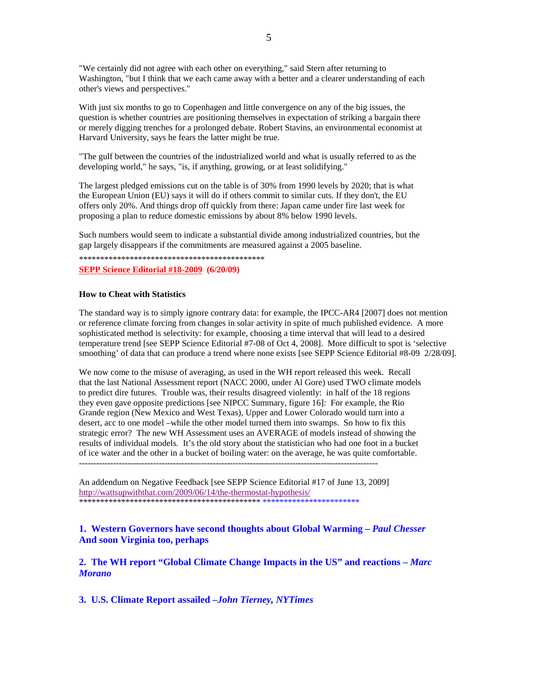"We certainly did not agree with each other on everything," said Stern after returning to Washington, "but I think that we each came away with a better and a clearer understanding of each other's views and perspectives."

With just six months to go to Copenhagen and little convergence on any of the big issues, the question is whether countries are positioning themselves in expectation of striking a bargain there or merely digging trenches for a prolonged debate. Robert Stavins, an environmental economist at Harvard University, says he fears the latter might be true.

"The gulf between the countries of the industrialized world and what is usually referred to as the developing world," he says, "is, if anything, growing, or at least solidifying."

The largest pledged emissions cut on the table is of 30% from 1990 levels by 2020; that is what the European Union (EU) says it will do if others commit to similar cuts. If they don't, the EU offers only 20%. And things drop off quickly from there: Japan came under fire last week for proposing a plan to reduce domestic emissions by about 8% below 1990 levels.

Such numbers would seem to indicate a substantial divide among industrialized countries, but the gap largely disappears if the commitments are measured against a 2005 baseline.

\*\*\*\*\*\*\*\*\*\*\*\*\*\*\*\*\*\*\*\*\*\*\*\*\*\*\*\*\*\*\*\*\*\*\*\*\*\*\*\*\*\*\*\*

**SEPP Science Editorial #18-2009 (6/20/09)** 

### **How to Cheat with Statistics**

The standard way is to simply ignore contrary data: for example, the IPCC-AR4 [2007] does not mention or reference climate forcing from changes in solar activity in spite of much published evidence. A more sophisticated method is selectivity: for example, choosing a time interval that will lead to a desired temperature trend [see SEPP Science Editorial #7-08 of Oct 4, 2008]. More difficult to spot is 'selective smoothing' of data that can produce a trend where none exists [see SEPP Science Editorial #8-09 2/28/09].

We now come to the misuse of averaging, as used in the WH report released this week. Recall that the last National Assessment report (NACC 2000, under Al Gore) used TWO climate models to predict dire futures. Trouble was, their results disagreed violently: in half of the 18 regions they even gave opposite predictions [see NIPCC Summary, figure 16]: For example, the Rio Grande region (New Mexico and West Texas), Upper and Lower Colorado would turn into a desert, acc to one model –while the other model turned them into swamps. So how to fix this strategic error? The new WH Assessment uses an AVERAGE of models instead of showing the results of individual models. It's the old story about the statistician who had one foot in a bucket of ice water and the other in a bucket of boiling water: on the average, he was quite comfortable.  $-$ 

An addendum on Negative Feedback [see SEPP Science Editorial #17 of June 13, 2009] http://wattsupwiththat.com/2009/06/14/the-thermostat-hypothesis/ \*\*\*\*\*\*\*\*\*\*\*\*\*\*\*\*\*\*\*\*\*\*\*\*\*\*\*\*\*\*\*\*\*\*\*\*\*\*\*\*\*\*\* \*\*\*\*\*\*\*\*\*\*\*\*\*\*\*\*\*\*\*\*\*\*\*

**1. Western Governors have second thoughts about Global Warming –** *Paul Chesser* **And soon Virginia too, perhaps** 

**2. The WH report "Global Climate Change Impacts in the US" and reactions –** *Marc Morano* 

**3. U.S. Climate Report assailed –***John Tierney, NYTimes*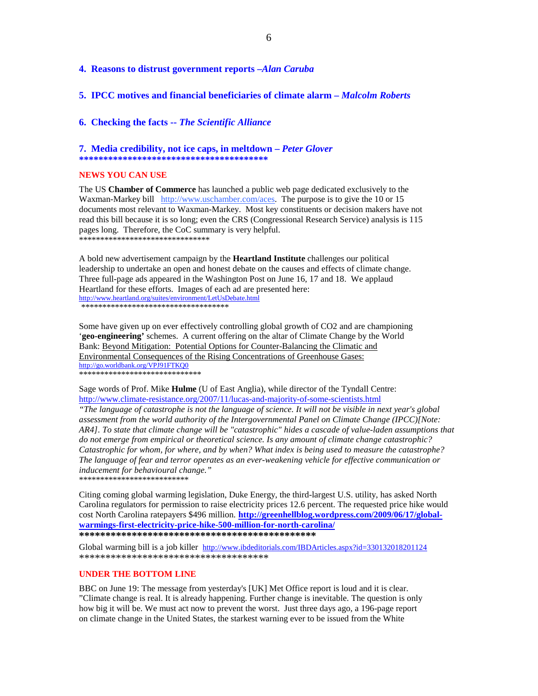### **4. Reasons to distrust government reports –***Alan Caruba*

**5. IPCC motives and financial beneficiaries of climate alarm –** *Malcolm Roberts*

**6. Checking the facts --** *The Scientific Alliance*

## **7. Media credibility, not ice caps, in meltdown –** *Peter Glover*

**\*\*\*\*\*\*\*\*\*\*\*\*\*\*\*\*\*\*\*\*\*\*\*\*\*\*\*\*\*\*\*\*\*\*\*\*\*\*\*** 

### **NEWS YOU CAN USE**

The US **Chamber of Commerce** has launched a public web page dedicated exclusively to the Waxman-Markey bill http://www.uschamber.com/aces. The purpose is to give the 10 or 15 documents most relevant to Waxman-Markey. Most key constituents or decision makers have not read this bill because it is so long; even the CRS (Congressional Research Service) analysis is 115 pages long. Therefore, the CoC summary is very helpful. \*\*\*\*\*\*\*\*\*\*\*\*\*\*\*\*\*\*\*\*\*\*\*\*\*\*\*\*\*\*\*

A bold new advertisement campaign by the **Heartland Institute** challenges our political leadership to undertake an open and honest debate on the causes and effects of climate change. Three full-page ads appeared in the Washington Post on June 16, 17 and 18. We applaud Heartland for these efforts. Images of each ad are presented here: http://www.heartland.org/suites/environment/LetUsDebate.html \*\*\*\*\*\*\*\*\*\*\*\*\*\*\*\*\*\*\*\*\*\*\*\*\*\*\*\*\*\*\*\*\*\*\*

Some have given up on ever effectively controlling global growth of CO2 and are championing '**geo-engineering'** schemes. A current offering on the altar of Climate Change by the World Bank: Beyond Mitigation: Potential Options for Counter-Balancing the Climatic and Environmental Consequences of the Rising Concentrations of Greenhouse Gases: http://go.worldbank.org/VPJ91FTKQ0 \*\*\*\*\*\*\*\*\*\*\*\*\*\*\*\*\*\*\*\*\*\*\*\*\*\*\*\*\*

Sage words of Prof. Mike **Hulme** (U of East Anglia), while director of the Tyndall Centre: http://www.climate-resistance.org/2007/11/lucas-and-majority-of-some-scientists.html

*"The language of catastrophe is not the language of science. It will not be visible in next year's global assessment from the world authority of the Intergovernmental Panel on Climate Change (IPCC)[Note: AR4]. To state that climate change will be "catastrophic" hides a cascade of value-laden assumptions that do not emerge from empirical or theoretical science. Is any amount of climate change catastrophic? Catastrophic for whom, for where, and by when? What index is being used to measure the catastrophe? The language of fear and terror operates as an ever-weakening vehicle for effective communication or inducement for behavioural change."* 

\*\*\*\*\*\*\*\*\*\*\*\*\*\*\*\*\*\*\*\*\*\*\*\*\*\*

Citing coming global warming legislation, Duke Energy, the third-largest U.S. utility, has asked North Carolina regulators for permission to raise electricity prices 12.6 percent. The requested price hike would cost North Carolina ratepayers \$496 million. **http://greenhellblog.wordpress.com/2009/06/17/globalwarmings-first-electricity-price-hike-500-million-for-north-carolina/ \*\*\*\*\*\*\*\*\*\*\*\*\*\*\*\*\*\*\*\*\*\*\*\*\*\*\*\*\*\*\*\*\*\*\*\*\*\*\*\*\*\*\*\*\*** 

Global warming bill is a job killer http://www.ibdeditorials.com/IBDArticles.aspx?id=330132018201124 \*\*\*\*\*\*\*\*\*\*\*\*\*\*\*\*\*\*\*\*\*\*\*\*\*\*\*\*\*\*\*\*\*\*\*\*

#### **UNDER THE BOTTOM LINE**

BBC on June 19: The message from yesterday's [UK] Met Office report is loud and it is clear. "Climate change is real. It is already happening. Further change is inevitable. The question is only how big it will be. We must act now to prevent the worst. Just three days ago, a 196-page report on climate change in the United States, the starkest warning ever to be issued from the White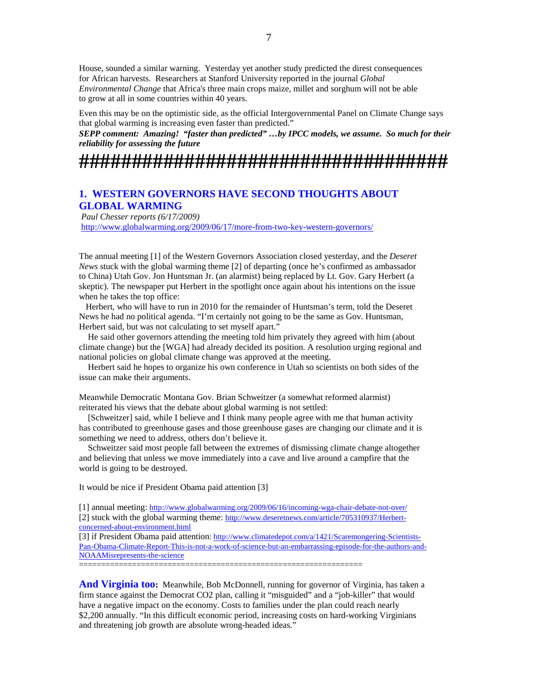House, sounded a similar warning. Yesterday yet another study predicted the direst consequences for African harvests. Researchers at Stanford University reported in the journal *Global Environmental Change* that Africa's three main crops maize, millet and sorghum will not be able to grow at all in some countries within 40 years.

Even this may be on the optimistic side, as the official Intergovernmental Panel on Climate Change says that global warming is increasing even faster than predicted."

*SEPP comment: Amazing! "faster than predicted" …by IPCC models, we assume. So much for their reliability for assessing the future*

**###################################** 

## **1. WESTERN GOVERNORS HAVE SECOND THOUGHTS ABOUT GLOBAL WARMING**

 *Paul Chesser reports (6/17/2009)*  http://www.globalwarming.org/2009/06/17/more-from-two-key-western-governors/

The annual meeting [1] of the Western Governors Association closed yesterday, and the *Deseret News* stuck with the global warming theme [2] of departing (once he's confirmed as ambassador to China) Utah Gov. Jon Huntsman Jr. (an alarmist) being replaced by Lt. Gov. Gary Herbert (a skeptic). The newspaper put Herbert in the spotlight once again about his intentions on the issue when he takes the top office:

 Herbert, who will have to run in 2010 for the remainder of Huntsman's term, told the Deseret News he had no political agenda. "I'm certainly not going to be the same as Gov. Huntsman, Herbert said, but was not calculating to set myself apart."

 He said other governors attending the meeting told him privately they agreed with him (about climate change) but the [WGA] had already decided its position. A resolution urging regional and national policies on global climate change was approved at the meeting.

 Herbert said he hopes to organize his own conference in Utah so scientists on both sides of the issue can make their arguments.

Meanwhile Democratic Montana Gov. Brian Schweitzer (a somewhat reformed alarmist) reiterated his views that the debate about global warming is not settled:

 [Schweitzer] said, while I believe and I think many people agree with me that human activity has contributed to greenhouse gases and those greenhouse gases are changing our climate and it is something we need to address, others don't believe it.

 Schweitzer said most people fall between the extremes of dismissing climate change altogether and believing that unless we move immediately into a cave and live around a campfire that the world is going to be destroyed.

It would be nice if President Obama paid attention [3]

[1] annual meeting: http://www.globalwarming.org/2009/06/16/incoming-wga-chair-debate-not-over/

[2] stuck with the global warming theme: http://www.deseretnews.com/article/705310937/Herbertconcerned-about-environment.html

[3] if President Obama paid attention: http://www.climatedepot.com/a/1421/Scaremongering-Scientists-Pan-Obama-Climate-Report-This-is-not-a-work-of-science-but-an-embarrassing-episode-for-the-authors-and-NOAAMisrepresents-the-science

================================================================

And Virginia too: Meanwhile, Bob McDonnell, running for governor of Virginia, has taken a firm stance against the Democrat CO2 plan, calling it "misguided" and a "job-killer" that would have a negative impact on the economy. Costs to families under the plan could reach nearly \$2,200 annually. "In this difficult economic period, increasing costs on hard-working Virginians and threatening job growth are absolute wrong-headed ideas."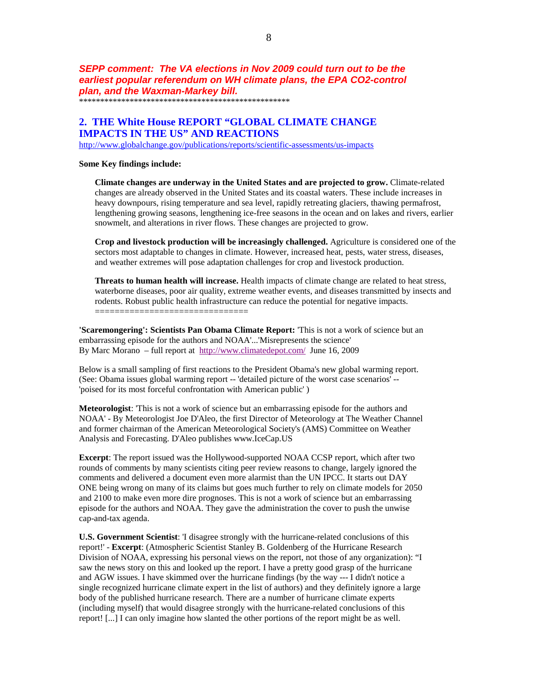**SEPP comment: The VA elections in Nov 2009 could turn out to be the earliest popular referendum on WH climate plans, the EPA CO2-control plan, and the Waxman-Markey bill.** 

\*\*\*\*\*\*\*\*\*\*\*\*\*\*\*\*\*\*\*\*\*\*\*\*\*\*\*\*\*\*\*\*\*\*\*\*\*\*\*\*\*\*\*\*\*\*\*\*\*\*

## **2. THE White House REPORT "GLOBAL CLIMATE CHANGE IMPACTS IN THE US" AND REACTIONS**

http://www.globalchange.gov/publications/reports/scientific-assessments/us-impacts

#### **Some Key findings include:**

**Climate changes are underway in the United States and are projected to grow.** Climate-related changes are already observed in the United States and its coastal waters. These include increases in heavy downpours, rising temperature and sea level, rapidly retreating glaciers, thawing permafrost, lengthening growing seasons, lengthening ice-free seasons in the ocean and on lakes and rivers, earlier snowmelt, and alterations in river flows. These changes are projected to grow.

**Crop and livestock production will be increasingly challenged.** Agriculture is considered one of the sectors most adaptable to changes in climate. However, increased heat, pests, water stress, diseases, and weather extremes will pose adaptation challenges for crop and livestock production.

**Threats to human health will increase.** Health impacts of climate change are related to heat stress, waterborne diseases, poor air quality, extreme weather events, and diseases transmitted by insects and rodents. Robust public health infrastructure can reduce the potential for negative impacts. ===============================

**'Scaremongering': Scientists Pan Obama Climate Report:** 'This is not a work of science but an embarrassing episode for the authors and NOAA'...'Misrepresents the science' By Marc Morano – full report at http://www.climatedepot.com/ June 16, 2009

Below is a small sampling of first reactions to the President Obama's new global warming report. (See: Obama issues global warming report -- 'detailed picture of the worst case scenarios' -- 'poised for its most forceful confrontation with American public' )

**Meteorologist**: 'This is not a work of science but an embarrassing episode for the authors and NOAA' - By Meteorologist Joe D'Aleo, the first Director of Meteorology at The Weather Channel and former chairman of the American Meteorological Society's (AMS) Committee on Weather Analysis and Forecasting. D'Aleo publishes www.IceCap.US

**Excerpt**: The report issued was the Hollywood-supported NOAA CCSP report, which after two rounds of comments by many scientists citing peer review reasons to change, largely ignored the comments and delivered a document even more alarmist than the UN IPCC. It starts out DAY ONE being wrong on many of its claims but goes much further to rely on climate models for 2050 and 2100 to make even more dire prognoses. This is not a work of science but an embarrassing episode for the authors and NOAA. They gave the administration the cover to push the unwise cap-and-tax agenda.

**U.S. Government Scientist**: 'I disagree strongly with the hurricane-related conclusions of this report!' - **Excerpt**: (Atmospheric Scientist Stanley B. Goldenberg of the Hurricane Research Division of NOAA, expressing his personal views on the report, not those of any organization): "I saw the news story on this and looked up the report. I have a pretty good grasp of the hurricane and AGW issues. I have skimmed over the hurricane findings (by the way --- I didn't notice a single recognized hurricane climate expert in the list of authors) and they definitely ignore a large body of the published hurricane research. There are a number of hurricane climate experts (including myself) that would disagree strongly with the hurricane-related conclusions of this report! [...] I can only imagine how slanted the other portions of the report might be as well.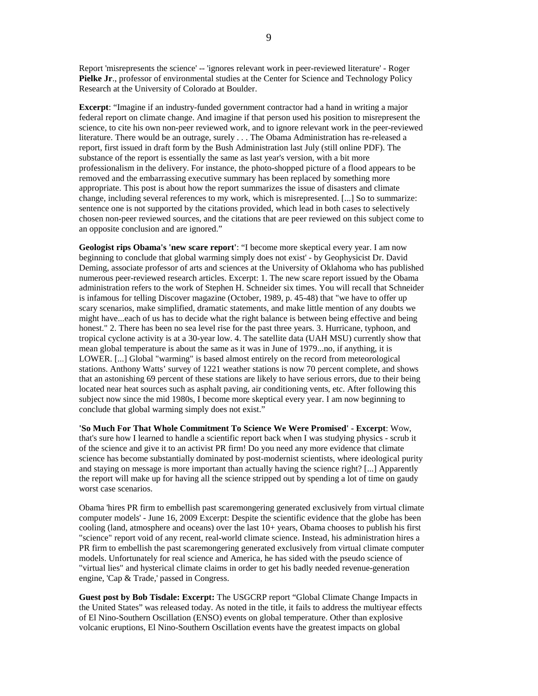Report 'misrepresents the science' -- 'ignores relevant work in peer-reviewed literature' - Roger **Pielke Jr**., professor of environmental studies at the Center for Science and Technology Policy Research at the University of Colorado at Boulder.

**Excerpt**: "Imagine if an industry-funded government contractor had a hand in writing a major federal report on climate change. And imagine if that person used his position to misrepresent the science, to cite his own non-peer reviewed work, and to ignore relevant work in the peer-reviewed literature. There would be an outrage, surely . . . The Obama Administration has re-released a report, first issued in draft form by the Bush Administration last July (still online PDF). The substance of the report is essentially the same as last year's version, with a bit more professionalism in the delivery. For instance, the photo-shopped picture of a flood appears to be removed and the embarrassing executive summary has been replaced by something more appropriate. This post is about how the report summarizes the issue of disasters and climate change, including several references to my work, which is misrepresented. [...] So to summarize: sentence one is not supported by the citations provided, which lead in both cases to selectively chosen non-peer reviewed sources, and the citations that are peer reviewed on this subject come to an opposite conclusion and are ignored."

**Geologist rips Obama's 'new scare report'**: "I become more skeptical every year. I am now beginning to conclude that global warming simply does not exist' - by Geophysicist Dr. David Deming, associate professor of arts and sciences at the University of Oklahoma who has published numerous peer-reviewed research articles. Excerpt: 1. The new scare report issued by the Obama administration refers to the work of Stephen H. Schneider six times. You will recall that Schneider is infamous for telling Discover magazine (October, 1989, p. 45-48) that "we have to offer up scary scenarios, make simplified, dramatic statements, and make little mention of any doubts we might have...each of us has to decide what the right balance is between being effective and being honest." 2. There has been no sea level rise for the past three years. 3. Hurricane, typhoon, and tropical cyclone activity is at a 30-year low. 4. The satellite data (UAH MSU) currently show that mean global temperature is about the same as it was in June of 1979...no, if anything, it is LOWER. [...] Global "warming" is based almost entirely on the record from meteorological stations. Anthony Watts' survey of 1221 weather stations is now 70 percent complete, and shows that an astonishing 69 percent of these stations are likely to have serious errors, due to their being located near heat sources such as asphalt paving, air conditioning vents, etc. After following this subject now since the mid 1980s, I become more skeptical every year. I am now beginning to conclude that global warming simply does not exist."

**'So Much For That Whole Commitment To Science We Were Promised' - Excerpt**: Wow, that's sure how I learned to handle a scientific report back when I was studying physics - scrub it of the science and give it to an activist PR firm! Do you need any more evidence that climate science has become substantially dominated by post-modernist scientists, where ideological purity and staying on message is more important than actually having the science right? [...] Apparently the report will make up for having all the science stripped out by spending a lot of time on gaudy worst case scenarios.

Obama 'hires PR firm to embellish past scaremongering generated exclusively from virtual climate computer models' - June 16, 2009 Excerpt: Despite the scientific evidence that the globe has been cooling (land, atmosphere and oceans) over the last 10+ years, Obama chooses to publish his first "science" report void of any recent, real-world climate science. Instead, his administration hires a PR firm to embellish the past scaremongering generated exclusively from virtual climate computer models. Unfortunately for real science and America, he has sided with the pseudo science of "virtual lies" and hysterical climate claims in order to get his badly needed revenue-generation engine, 'Cap & Trade,' passed in Congress.

**Guest post by Bob Tisdale: Excerpt:** The USGCRP report "Global Climate Change Impacts in the United States" was released today. As noted in the title, it fails to address the multiyear effects of El Nino-Southern Oscillation (ENSO) events on global temperature. Other than explosive volcanic eruptions, El Nino-Southern Oscillation events have the greatest impacts on global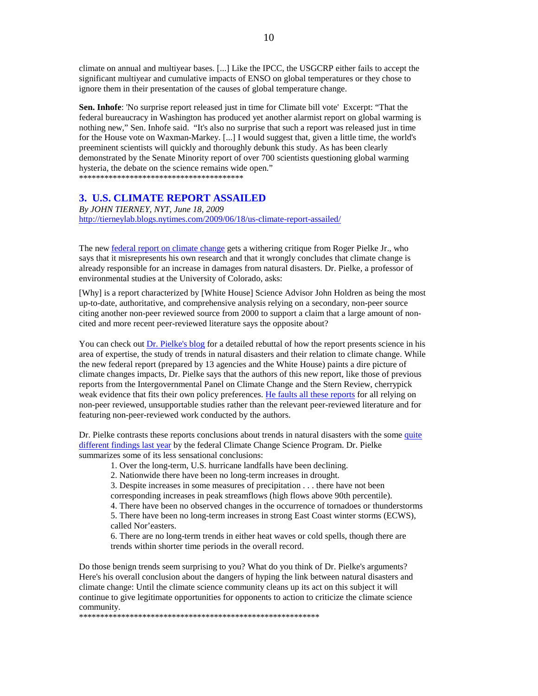climate on annual and multiyear bases. [...] Like the IPCC, the USGCRP either fails to accept the significant multiyear and cumulative impacts of ENSO on global temperatures or they chose to ignore them in their presentation of the causes of global temperature change.

**Sen. Inhofe**: 'No surprise report released just in time for Climate bill vote' Excerpt: "That the federal bureaucracy in Washington has produced yet another alarmist report on global warming is nothing new," Sen. Inhofe said. "It's also no surprise that such a report was released just in time for the House vote on Waxman-Markey. [...] I would suggest that, given a little time, the world's preeminent scientists will quickly and thoroughly debunk this study. As has been clearly demonstrated by the Senate Minority report of over 700 scientists questioning global warming hysteria, the debate on the science remains wide open."

\*\*\*\*\*\*\*\*\*\*\*\*\*\*\*\*\*\*\*\*\*\*\*\*\*\*\*\*\*\*\*\*\*\*\*\*\*\*\*

## **3. U.S. CLIMATE REPORT ASSAILED**

*By JOHN TIERNEY, NYT, June 18, 2009*  http://tierneylab.blogs.nytimes.com/2009/06/18/us-climate-report-assailed/

The new federal report on climate change gets a withering critique from Roger Pielke Jr., who says that it misrepresents his own research and that it wrongly concludes that climate change is already responsible for an increase in damages from natural disasters. Dr. Pielke, a professor of environmental studies at the University of Colorado, asks:

[Why] is a report characterized by [White House] Science Advisor John Holdren as being the most up-to-date, authoritative, and comprehensive analysis relying on a secondary, non-peer source citing another non-peer reviewed source from 2000 to support a claim that a large amount of noncited and more recent peer-reviewed literature says the opposite about?

You can check out Dr. Pielke's blog for a detailed rebuttal of how the report presents science in his area of expertise, the study of trends in natural disasters and their relation to climate change. While the new federal report (prepared by 13 agencies and the White House) paints a dire picture of climate changes impacts, Dr. Pielke says that the authors of this new report, like those of previous reports from the Intergovernmental Panel on Climate Change and the Stern Review, cherrypick weak evidence that fits their own policy preferences. He faults all these reports for all relying on non-peer reviewed, unsupportable studies rather than the relevant peer-reviewed literature and for featuring non-peer-reviewed work conducted by the authors.

Dr. Pielke contrasts these reports conclusions about trends in natural disasters with the some quite different findings last year by the federal Climate Change Science Program. Dr. Pielke summarizes some of its less sensational conclusions:

1. Over the long-term, U.S. hurricane landfalls have been declining.

2. Nationwide there have been no long-term increases in drought.

3. Despite increases in some measures of precipitation . . . there have not been corresponding increases in peak streamflows (high flows above 90th percentile).

4. There have been no observed changes in the occurrence of tornadoes or thunderstorms

5. There have been no long-term increases in strong East Coast winter storms (ECWS), called Nor'easters.

6. There are no long-term trends in either heat waves or cold spells, though there are trends within shorter time periods in the overall record.

Do those benign trends seem surprising to you? What do you think of Dr. Pielke's arguments? Here's his overall conclusion about the dangers of hyping the link between natural disasters and climate change: Until the climate science community cleans up its act on this subject it will continue to give legitimate opportunities for opponents to action to criticize the climate science community.

\*\*\*\*\*\*\*\*\*\*\*\*\*\*\*\*\*\*\*\*\*\*\*\*\*\*\*\*\*\*\*\*\*\*\*\*\*\*\*\*\*\*\*\*\*\*\*\*\*\*\*\*\*\*\*\*\*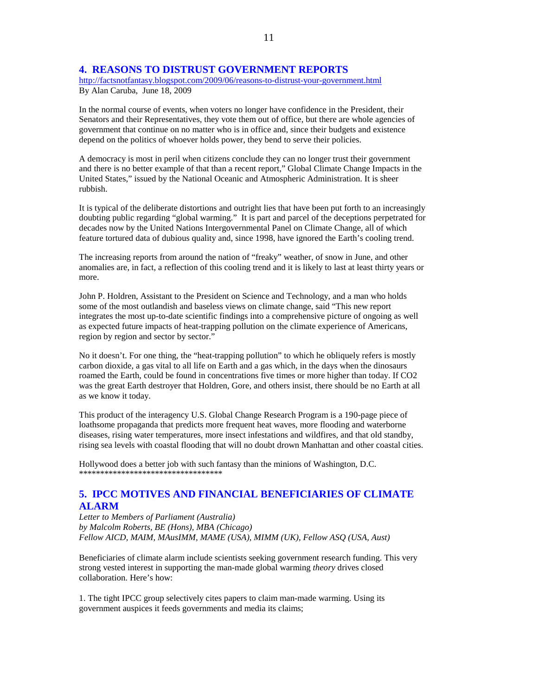## **4. REASONS TO DISTRUST GOVERNMENT REPORTS**

http://factsnotfantasy.blogspot.com/2009/06/reasons-to-distrust-your-government.html By Alan Caruba, June 18, 2009

In the normal course of events, when voters no longer have confidence in the President, their Senators and their Representatives, they vote them out of office, but there are whole agencies of government that continue on no matter who is in office and, since their budgets and existence depend on the politics of whoever holds power, they bend to serve their policies.

A democracy is most in peril when citizens conclude they can no longer trust their government and there is no better example of that than a recent report," Global Climate Change Impacts in the United States," issued by the National Oceanic and Atmospheric Administration. It is sheer rubbish.

It is typical of the deliberate distortions and outright lies that have been put forth to an increasingly doubting public regarding "global warming." It is part and parcel of the deceptions perpetrated for decades now by the United Nations Intergovernmental Panel on Climate Change, all of which feature tortured data of dubious quality and, since 1998, have ignored the Earth's cooling trend.

The increasing reports from around the nation of "freaky" weather, of snow in June, and other anomalies are, in fact, a reflection of this cooling trend and it is likely to last at least thirty years or more.

John P. Holdren, Assistant to the President on Science and Technology, and a man who holds some of the most outlandish and baseless views on climate change, said "This new report integrates the most up-to-date scientific findings into a comprehensive picture of ongoing as well as expected future impacts of heat-trapping pollution on the climate experience of Americans, region by region and sector by sector."

No it doesn't. For one thing, the "heat-trapping pollution" to which he obliquely refers is mostly carbon dioxide, a gas vital to all life on Earth and a gas which, in the days when the dinosaurs roamed the Earth, could be found in concentrations five times or more higher than today. If CO2 was the great Earth destroyer that Holdren, Gore, and others insist, there should be no Earth at all as we know it today.

This product of the interagency U.S. Global Change Research Program is a 190-page piece of loathsome propaganda that predicts more frequent heat waves, more flooding and waterborne diseases, rising water temperatures, more insect infestations and wildfires, and that old standby, rising sea levels with coastal flooding that will no doubt drown Manhattan and other coastal cities.

Hollywood does a better job with such fantasy than the minions of Washington, D.C. \*\*\*\*\*\*\*\*\*\*\*\*\*\*\*\*\*\*\*\*\*\*\*\*\*\*\*\*\*\*\*\*\*\*

## **5. IPCC MOTIVES AND FINANCIAL BENEFICIARIES OF CLIMATE ALARM**

*Letter to Members of Parliament (Australia) by Malcolm Roberts, BE (Hons), MBA (Chicago) Fellow AICD, MAIM, MAusIMM, MAME (USA), MIMM (UK), Fellow ASQ (USA, Aust)* 

Beneficiaries of climate alarm include scientists seeking government research funding. This very strong vested interest in supporting the man-made global warming *theory* drives closed collaboration. Here's how:

1. The tight IPCC group selectively cites papers to claim man-made warming. Using its government auspices it feeds governments and media its claims;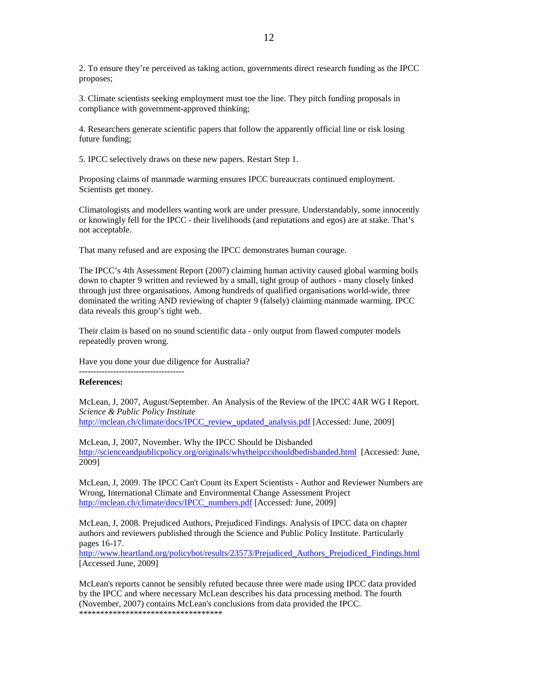2. To ensure they're perceived as taking action, governments direct research funding as the IPCC proposes;

3. Climate scientists seeking employment must toe the line. They pitch funding proposals in compliance with government-approved thinking;

4. Researchers generate scientific papers that follow the apparently official line or risk losing future funding;

5. IPCC selectively draws on these new papers. Restart Step 1.

Proposing claims of manmade warming ensures IPCC bureaucrats continued employment. Scientists get money.

Climatologists and modellers wanting work are under pressure. Understandably, some innocently or knowingly fell for the IPCC - their livelihoods (and reputations and egos) are at stake. That's not acceptable.

That many refused and are exposing the IPCC demonstrates human courage.

The IPCC's 4th Assessment Report (2007) claiming human activity caused global warming boils down to chapter 9 written and reviewed by a small, tight group of authors - many closely linked through just three organisations. Among hundreds of qualified organisations world-wide, three dominated the writing AND reviewing of chapter 9 (falsely) claiming manmade warming. IPCC data reveals this group's tight web.

Their claim is based on no sound scientific data - only output from flawed computer models repeatedly proven wrong.

Have you done your due diligence for Australia?

-------------------------------------

## **References:**

McLean, J, 2007, August/September. An Analysis of the Review of the IPCC 4AR WG I Report. *Science & Public Policy Institute* http://mclean.ch/climate/docs/IPCC\_review\_updated\_analysis.pdf [Accessed: June, 2009]

McLean, J, 2007, November. Why the IPCC Should be Disbanded http://scienceandpublicpolicy.org/originals/whytheipccshouldbedisbanded.html [Accessed: June, 2009]

McLean, J, 2009. The IPCC Can't Count its Expert Scientists - Author and Reviewer Numbers are Wrong, International Climate and Environmental Change Assessment Project http://mclean.ch/climate/docs/IPCC\_numbers.pdf [Accessed: June, 2009]

McLean, J, 2008. Prejudiced Authors, Prejudiced Findings. Analysis of IPCC data on chapter authors and reviewers published through the Science and Public Policy Institute. Particularly pages 16-17.

http://www.heartland.org/policybot/results/23573/Prejudiced\_Authors\_Prejudiced\_Findings.html [Accessed June, 2009]

McLean's reports cannot be sensibly refuted because three were made using IPCC data provided by the IPCC and where necessary McLean describes his data processing method. The fourth (November, 2007) contains McLean's conclusions from data provided the IPCC. \*\*\*\*\*\*\*\*\*\*\*\*\*\*\*\*\*\*\*\*\*\*\*\*\*\*\*\*\*\*\*\*\*\*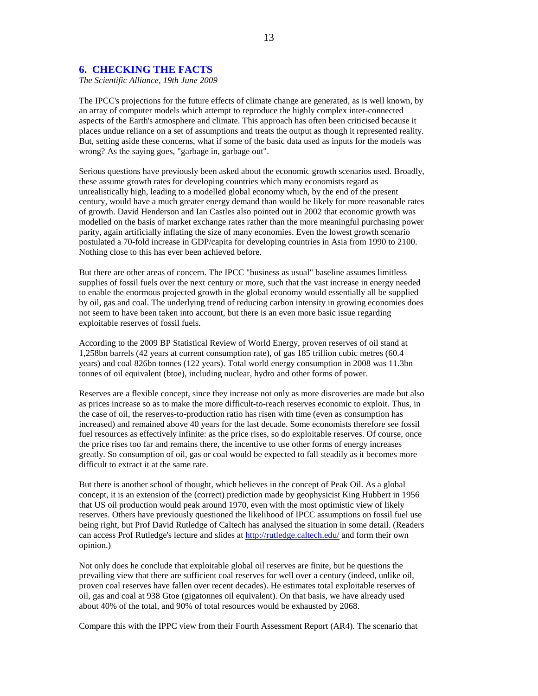### **6. CHECKING THE FACTS**

*The Scientific Alliance, 19th June 2009* 

The IPCC's projections for the future effects of climate change are generated, as is well known, by an array of computer models which attempt to reproduce the highly complex inter-connected aspects of the Earth's atmosphere and climate. This approach has often been criticised because it places undue reliance on a set of assumptions and treats the output as though it represented reality. But, setting aside these concerns, what if some of the basic data used as inputs for the models was wrong? As the saying goes, "garbage in, garbage out".

Serious questions have previously been asked about the economic growth scenarios used. Broadly, these assume growth rates for developing countries which many economists regard as unrealistically high, leading to a modelled global economy which, by the end of the present century, would have a much greater energy demand than would be likely for more reasonable rates of growth. David Henderson and Ian Castles also pointed out in 2002 that economic growth was modelled on the basis of market exchange rates rather than the more meaningful purchasing power parity, again artificially inflating the size of many economies. Even the lowest growth scenario postulated a 70-fold increase in GDP/capita for developing countries in Asia from 1990 to 2100. Nothing close to this has ever been achieved before.

But there are other areas of concern. The IPCC "business as usual" baseline assumes limitless supplies of fossil fuels over the next century or more, such that the vast increase in energy needed to enable the enormous projected growth in the global economy would essentially all be supplied by oil, gas and coal. The underlying trend of reducing carbon intensity in growing economies does not seem to have been taken into account, but there is an even more basic issue regarding exploitable reserves of fossil fuels.

According to the 2009 BP Statistical Review of World Energy, proven reserves of oil stand at 1,258bn barrels (42 years at current consumption rate), of gas 185 trillion cubic metres (60.4 years) and coal 826bn tonnes (122 years). Total world energy consumption in 2008 was 11.3bn tonnes of oil equivalent (btoe), including nuclear, hydro and other forms of power.

Reserves are a flexible concept, since they increase not only as more discoveries are made but also as prices increase so as to make the more difficult-to-reach reserves economic to exploit. Thus, in the case of oil, the reserves-to-production ratio has risen with time (even as consumption has increased) and remained above 40 years for the last decade. Some economists therefore see fossil fuel resources as effectively infinite: as the price rises, so do exploitable reserves. Of course, once the price rises too far and remains there, the incentive to use other forms of energy increases greatly. So consumption of oil, gas or coal would be expected to fall steadily as it becomes more difficult to extract it at the same rate.

But there is another school of thought, which believes in the concept of Peak Oil. As a global concept, it is an extension of the (correct) prediction made by geophysicist King Hubbert in 1956 that US oil production would peak around 1970, even with the most optimistic view of likely reserves. Others have previously questioned the likelihood of IPCC assumptions on fossil fuel use being right, but Prof David Rutledge of Caltech has analysed the situation in some detail. (Readers can access Prof Rutledge's lecture and slides at http://rutledge.caltech.edu/ and form their own opinion.)

Not only does he conclude that exploitable global oil reserves are finite, but he questions the prevailing view that there are sufficient coal reserves for well over a century (indeed, unlike oil, proven coal reserves have fallen over recent decades). He estimates total exploitable reserves of oil, gas and coal at 938 Gtoe (gigatonnes oil equivalent). On that basis, we have already used about 40% of the total, and 90% of total resources would be exhausted by 2068.

Compare this with the IPPC view from their Fourth Assessment Report (AR4). The scenario that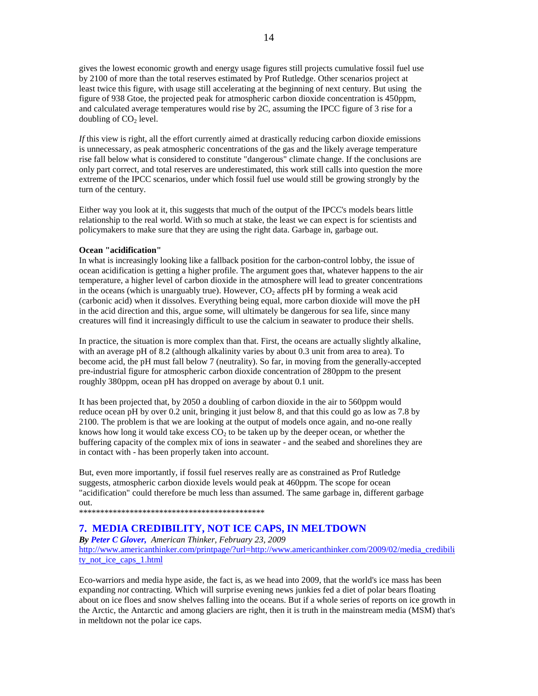gives the lowest economic growth and energy usage figures still projects cumulative fossil fuel use by 2100 of more than the total reserves estimated by Prof Rutledge. Other scenarios project at least twice this figure, with usage still accelerating at the beginning of next century. But using the figure of 938 Gtoe, the projected peak for atmospheric carbon dioxide concentration is 450ppm, and calculated average temperatures would rise by 2C, assuming the IPCC figure of 3 rise for a doubling of  $CO<sub>2</sub>$  level.

*If* this view is right, all the effort currently aimed at drastically reducing carbon dioxide emissions is unnecessary, as peak atmospheric concentrations of the gas and the likely average temperature rise fall below what is considered to constitute "dangerous" climate change. If the conclusions are only part correct, and total reserves are underestimated, this work still calls into question the more extreme of the IPCC scenarios, under which fossil fuel use would still be growing strongly by the turn of the century.

Either way you look at it, this suggests that much of the output of the IPCC's models bears little relationship to the real world. With so much at stake, the least we can expect is for scientists and policymakers to make sure that they are using the right data. Garbage in, garbage out.

#### **Ocean "acidification"**

In what is increasingly looking like a fallback position for the carbon-control lobby, the issue of ocean acidification is getting a higher profile. The argument goes that, whatever happens to the air temperature, a higher level of carbon dioxide in the atmosphere will lead to greater concentrations in the oceans (which is unarguably true). However,  $CO<sub>2</sub>$  affects pH by forming a weak acid (carbonic acid) when it dissolves. Everything being equal, more carbon dioxide will move the pH in the acid direction and this, argue some, will ultimately be dangerous for sea life, since many creatures will find it increasingly difficult to use the calcium in seawater to produce their shells.

In practice, the situation is more complex than that. First, the oceans are actually slightly alkaline, with an average pH of 8.2 (although alkalinity varies by about 0.3 unit from area to area). To become acid, the pH must fall below 7 (neutrality). So far, in moving from the generally-accepted pre-industrial figure for atmospheric carbon dioxide concentration of 280ppm to the present roughly 380ppm, ocean pH has dropped on average by about 0.1 unit.

It has been projected that, by 2050 a doubling of carbon dioxide in the air to 560ppm would reduce ocean pH by over 0.2 unit, bringing it just below 8, and that this could go as low as 7.8 by 2100. The problem is that we are looking at the output of models once again, and no-one really knows how long it would take excess  $CO<sub>2</sub>$  to be taken up by the deeper ocean, or whether the buffering capacity of the complex mix of ions in seawater - and the seabed and shorelines they are in contact with - has been properly taken into account.

But, even more importantly, if fossil fuel reserves really are as constrained as Prof Rutledge suggests, atmospheric carbon dioxide levels would peak at 460ppm. The scope for ocean "acidification" could therefore be much less than assumed. The same garbage in, different garbage out.

\*\*\*\*\*\*\*\*\*\*\*\*\*\*\*\*\*\*\*\*\*\*\*\*\*\*\*\*\*\*\*\*\*\*\*\*\*\*\*\*\*\*\*\*

## **7. MEDIA CREDIBILITY, NOT ICE CAPS, IN MELTDOWN**

*By Peter C Glover, American Thinker, February 23, 2009*  http://www.americanthinker.com/printpage/?url=http://www.americanthinker.com/2009/02/media\_credibili ty\_not\_ice\_caps\_1.html

Eco-warriors and media hype aside, the fact is, as we head into 2009, that the world's ice mass has been expanding *not* contracting. Which will surprise evening news junkies fed a diet of polar bears floating about on ice floes and snow shelves falling into the oceans. But if a whole series of reports on ice growth in the Arctic, the Antarctic and among glaciers are right, then it is truth in the mainstream media (MSM) that's in meltdown not the polar ice caps.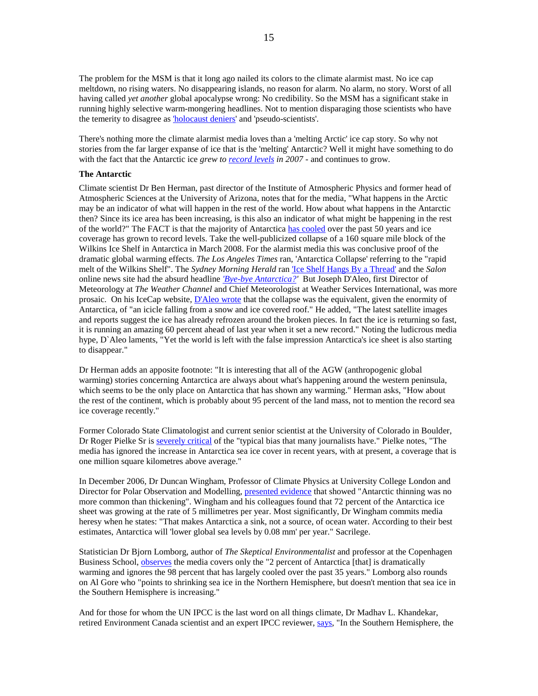The problem for the MSM is that it long ago nailed its colors to the climate alarmist mast. No ice cap meltdown, no rising waters. No disappearing islands, no reason for alarm. No alarm, no story. Worst of all having called *yet another* global apocalypse wrong: No credibility. So the MSM has a significant stake in running highly selective warm-mongering headlines. Not to mention disparaging those scientists who have the temerity to disagree as 'holocaust deniers' and 'pseudo-scientists'.

There's nothing more the climate alarmist media loves than a 'melting Arctic' ice cap story. So why not stories from the far larger expanse of ice that is the 'melting' Antarctic? Well it might have something to do with the fact that the Antarctic ice *grew to record levels in 2007 -* and continues to grow.

### **The Antarctic**

Climate scientist Dr Ben Herman, past director of the Institute of Atmospheric Physics and former head of Atmospheric Sciences at the University of Arizona, notes that for the media, "What happens in the Arctic may be an indicator of what will happen in the rest of the world. How about what happens in the Antarctic then? Since its ice area has been increasing, is this also an indicator of what might be happening in the rest of the world?" The FACT is that the majority of Antarctica has cooled over the past 50 years and ice coverage has grown to record levels. Take the well-publicized collapse of a 160 square mile block of the Wilkins Ice Shelf in Antarctica in March 2008. For the alarmist media this was conclusive proof of the dramatic global warming effects. *The Los Angeles Times* ran, 'Antarctica Collapse' referring to the "rapid melt of the Wilkins Shelf". The *Sydney Morning Herald* ran 'Ice Shelf Hangs By a Thread' and the *Salon* online news site had the absurd headline *'Bye-bye Antarctica?'* But Joseph D'Aleo, first Director of Meteorology at *The Weather Channel* and Chief Meteorologist at Weather Services International, was more prosaic. On his IceCap website, D'Aleo wrote that the collapse was the equivalent, given the enormity of Antarctica, of "an icicle falling from a snow and ice covered roof." He added, "The latest satellite images and reports suggest the ice has already refrozen around the broken pieces. In fact the ice is returning so fast, it is running an amazing 60 percent ahead of last year when it set a new record." Noting the ludicrous media hype, D`Aleo laments, "Yet the world is left with the false impression Antarctica's ice sheet is also starting to disappear."

Dr Herman adds an apposite footnote: "It is interesting that all of the AGW (anthropogenic global warming) stories concerning Antarctica are always about what's happening around the western peninsula, which seems to be the only place on Antarctica that has shown any warming." Herman asks, "How about the rest of the continent, which is probably about 95 percent of the land mass, not to mention the record sea ice coverage recently."

Former Colorado State Climatologist and current senior scientist at the University of Colorado in Boulder, Dr Roger Pielke Sr is severely critical of the "typical bias that many journalists have." Pielke notes, "The media has ignored the increase in Antarctica sea ice cover in recent years, with at present, a coverage that is one million square kilometres above average."

In December 2006, Dr Duncan Wingham, Professor of Climate Physics at University College London and Director for Polar Observation and Modelling, presented evidence that showed "Antarctic thinning was no more common than thickening". Wingham and his colleagues found that 72 percent of the Antarctica ice sheet was growing at the rate of 5 millimetres per year. Most significantly, Dr Wingham commits media heresy when he states: "That makes Antarctica a sink, not a source, of ocean water. According to their best estimates, Antarctica will 'lower global sea levels by 0.08 mm' per year." Sacrilege.

Statistician Dr Bjorn Lomborg, author of *The Skeptical Environmentalist* and professor at the Copenhagen Business School, observes the media covers only the "2 percent of Antarctica [that] is dramatically warming and ignores the 98 percent that has largely cooled over the past 35 years." Lomborg also rounds on Al Gore who "points to shrinking sea ice in the Northern Hemisphere, but doesn't mention that sea ice in the Southern Hemisphere is increasing."

And for those for whom the UN IPCC is the last word on all things climate, Dr Madhav L. Khandekar, retired Environment Canada scientist and an expert IPCC reviewer, says, "In the Southern Hemisphere, the